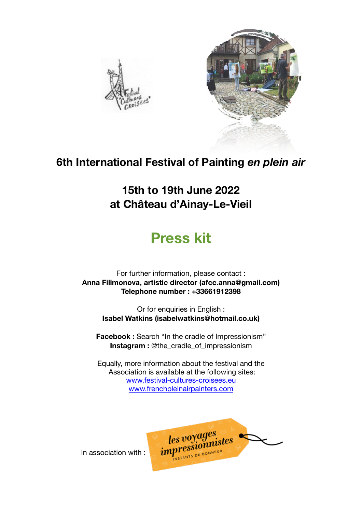



#### **6th International Festival of Painting** *en plein air*

**15th to 19th June 2022 at Château d'Ainay-Le-Vieil** 

### **Press kit**

For further information, please contact : **Anna Filimonova, artistic director (afcc.anna@gmail.com) Telephone number : +33661912398** 

Or for enquiries in English : **Isabel Watkins (isabelwatkins@hotmail.co.uk)** 

**Facebook :** Search "In the cradle of Impressionism" **Instagram :** @the\_cradle\_of\_impressionism

Equally, more information about the festival and the Association is available at the following sites: [www.festival-cultures-croisees.eu](http://www.festival-cultures-croisees.eu) [www.frenchpleinairpainters.com](http://www.frenchpleinairpainters.com)

les voyages<br>
impressionnistes

In association with :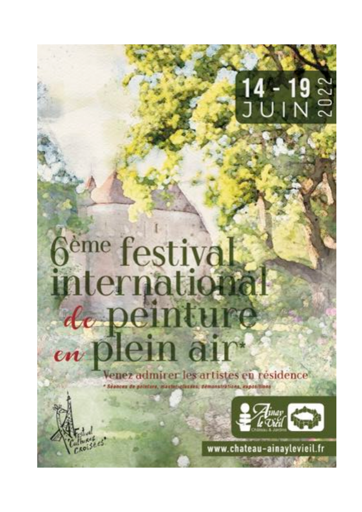# $\frac{1}{2002}$

## 6<sup>ème</sup> festival peinture de en n anr

z admirer les artistes en résidence



www.chateau-ainaylevieil.fr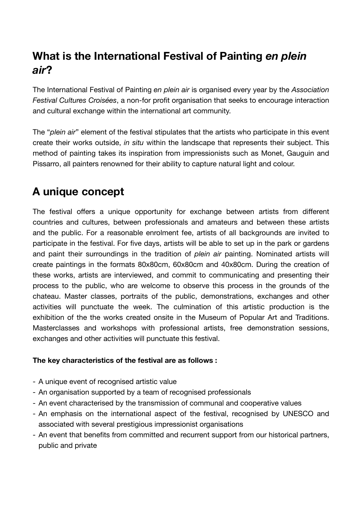#### **What is the International Festival of Painting** *en plein air***?**

The International Festival of Painting *en plein air* is organised every year by the *Association Festival Cultures Croisées*, a non-for profit organisation that seeks to encourage interaction and cultural exchange within the international art community.

The "*plein air*" element of the festival stipulates that the artists who participate in this event create their works outside, *in situ* within the landscape that represents their subject. This method of painting takes its inspiration from impressionists such as Monet, Gauguin and Pissarro, all painters renowned for their ability to capture natural light and colour.

#### **A unique concept**

The festival offers a unique opportunity for exchange between artists from different countries and cultures, between professionals and amateurs and between these artists and the public. For a reasonable enrolment fee, artists of all backgrounds are invited to participate in the festival. For five days, artists will be able to set up in the park or gardens and paint their surroundings in the tradition of *plein air* painting. Nominated artists will create paintings in the formats 80x80cm, 60x80cm and 40x80cm. During the creation of these works, artists are interviewed, and commit to communicating and presenting their process to the public, who are welcome to observe this process in the grounds of the chateau. Master classes, portraits of the public, demonstrations, exchanges and other activities will punctuate the week. The culmination of this artistic production is the exhibition of the the works created onsite in the Museum of Popular Art and Traditions. Masterclasses and workshops with professional artists, free demonstration sessions, exchanges and other activities will punctuate this festival.

#### **The key characteristics of the festival are as follows :**

- A unique event of recognised artistic value
- An organisation supported by a team of recognised professionals
- An event characterised by the transmission of communal and cooperative values
- An emphasis on the international aspect of the festival, recognised by UNESCO and associated with several prestigious impressionist organisations
- An event that benefits from committed and recurrent support from our historical partners, public and private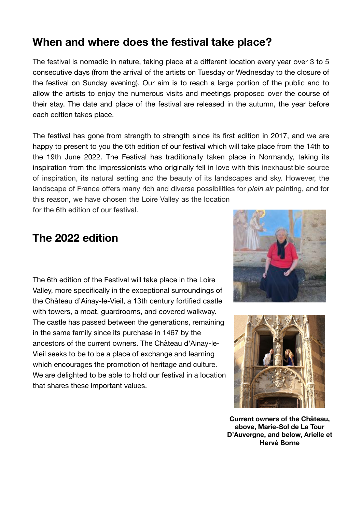#### **When and where does the festival take place?**

The festival is nomadic in nature, taking place at a different location every year over 3 to 5 consecutive days (from the arrival of the artists on Tuesday or Wednesday to the closure of the festival on Sunday evening). Our aim is to reach a large portion of the public and to allow the artists to enjoy the numerous visits and meetings proposed over the course of their stay. The date and place of the festival are released in the autumn, the year before each edition takes place.

The festival has gone from strength to strength since its first edition in 2017, and we are happy to present to you the 6th edition of our festival which will take place from the 14th to the 19th June 2022. The Festival has traditionally taken place in Normandy, taking its inspiration from the Impressionists who originally fell in love with this inexhaustible source of inspiration, its natural setting and the beauty of its landscapes and sky. However, the landscape of France offers many rich and diverse possibilities for *plein air* painting, and for this reason, we have chosen the Loire Valley as the location for the 6th edition of our festival.

#### **The 2022 edition**

The 6th edition of the Festival will take place in the Loire Valley, more specifically in the exceptional surroundings of the Château d'Ainay-le-Vieil, a 13th century fortified castle with towers, a moat, guardrooms, and covered walkway. The castle has passed between the generations, remaining in the same family since its purchase in 1467 by the ancestors of the current owners. The Château d'Ainay-le-Vieil seeks to be to be a place of exchange and learning which encourages the promotion of heritage and culture. We are delighted to be able to hold our festival in a location that shares these important values.





**Current owners of the Château, above, Marie-Sol de La Tour D'Auvergne, and below, Arielle et Hervé Borne**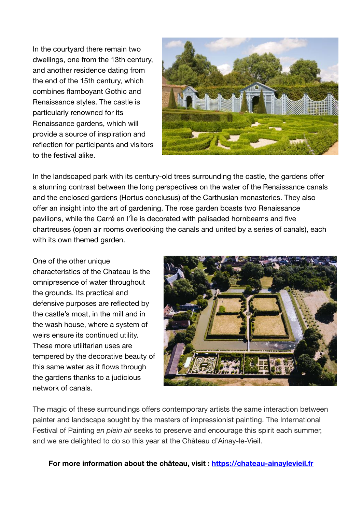In the courtyard there remain two dwellings, one from the 13th century, and another residence dating from the end of the 15th century, which combines flamboyant Gothic and Renaissance styles. The castle is particularly renowned for its Renaissance gardens, which will provide a source of inspiration and reflection for participants and visitors to the festival alike.



In the landscaped park with its century-old trees surrounding the castle, the gardens offer a stunning contrast between the long perspectives on the water of the Renaissance canals and the enclosed gardens (Hortus conclusus) of the Carthusian monasteries. They also offer an insight into the art of gardening. The rose garden boasts two Renaissance pavilions, while the Carré en l'Île is decorated with palisaded hornbeams and five chartreuses (open air rooms overlooking the canals and united by a series of canals), each with its own themed garden.

One of the other unique characteristics of the Chateau is the omnipresence of water throughout the grounds. Its practical and defensive purposes are reflected by the castle's moat, in the mill and in the wash house, where a system of weirs ensure its continued utility. These more utilitarian uses are tempered by the decorative beauty of this same water as it flows through the gardens thanks to a judicious network of canals.



The magic of these surroundings offers contemporary artists the same interaction between painter and landscape sought by the masters of impressionist painting. The International Festival of Painting *en plein air* seeks to preserve and encourage this spirit each summer, and we are delighted to do so this year at the Château d'Ainay-le-Vieil.

**For more information about the château, visit : <https://chateau-ainaylevieil.fr>**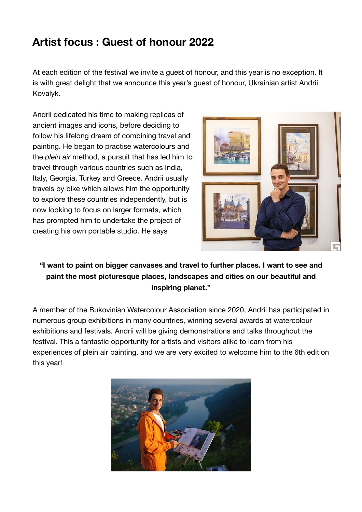#### **Artist focus : Guest of honour 2022**

At each edition of the festival we invite a guest of honour, and this year is no exception. It is with great delight that we announce this year's guest of honour, Ukrainian artist Andrii Kovalyk.

Andrii dedicated his time to making replicas of ancient images and icons, before deciding to follow his lifelong dream of combining travel and painting. He began to practise watercolours and the *plein air* method, a pursuit that has led him to travel through various countries such as India, Italy, Georgia, Turkey and Greece. Andrii usually travels by bike which allows him the opportunity to explore these countries independently, but is now looking to focus on larger formats, which has prompted him to undertake the project of creating his own portable studio. He says



**"I want to paint on bigger canvases and travel to further places. I want to see and paint the most picturesque places, landscapes and cities on our beautiful and inspiring planet."** 

A member of the Bukovinian Watercolour Association since 2020, Andrii has participated in numerous group exhibitions in many countries, winning several awards at watercolour exhibitions and festivals. Andrii will be giving demonstrations and talks throughout the festival. This a fantastic opportunity for artists and visitors alike to learn from his experiences of plein air painting, and we are very excited to welcome him to the 6th edition this year!

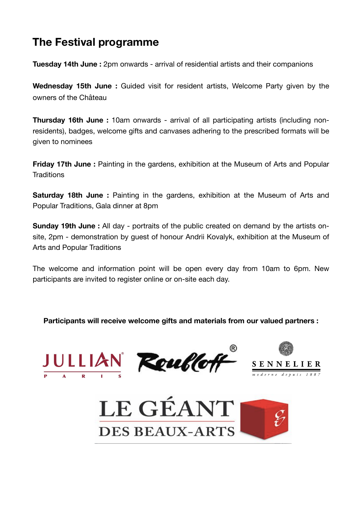#### **The Festival programme**

**Tuesday 14th June** : 2pm onwards - arrival of residential artists and their companions

**Wednesday 15th June :** Guided visit for resident artists, Welcome Party given by the owners of the Château

**Thursday 16th June :** 10am onwards - arrival of all participating artists (including nonresidents), badges, welcome gifts and canvases adhering to the prescribed formats will be given to nominees

**Friday 17th June :** Painting in the gardens, exhibition at the Museum of Arts and Popular **Traditions** 

**Saturday 18th June :** Painting in the gardens, exhibition at the Museum of Arts and Popular Traditions, Gala dinner at 8pm

**Sunday 19th June :** All day - portraits of the public created on demand by the artists onsite, 2pm - demonstration by guest of honour Andrii Kovalyk, exhibition at the Museum of Arts and Popular Traditions

The welcome and information point will be open every day from 10am to 6pm. New participants are invited to register online or on-site each day.

**Participants will receive welcome gifts and materials from our valued partners :** 







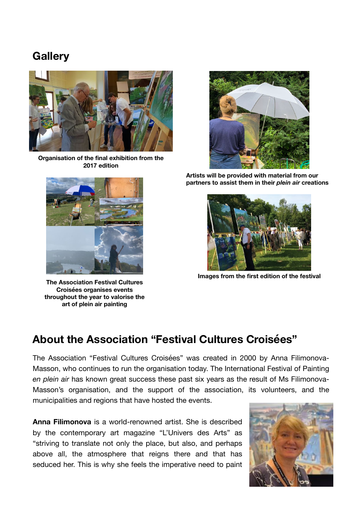#### **Gallery**



**Organisation of the final exhibition from the 2017 edition**



**The Association Festival Cultures Croisées organises events throughout the year to valorise the art of plein air painting**



**Artists will be provided with material from our partners to assist them in their** *plein air* **creations**



**Images from the first edition of the festival**

#### **About the Association "Festival Cultures Croisées"**

The Association "Festival Cultures Croisées" was created in 2000 by Anna Filimonova-Masson, who continues to run the organisation today. The International Festival of Painting *en plein air* has known great success these past six years as the result of Ms Filimonova-Masson's organisation, and the support of the association, its volunteers, and the municipalities and regions that have hosted the events.

**Anna Filimonova** is a world-renowned artist. She is described by the contemporary art magazine "L'Univers des Arts" as "striving to translate not only the place, but also, and perhaps above all, the atmosphere that reigns there and that has seduced her. This is why she feels the imperative need to paint